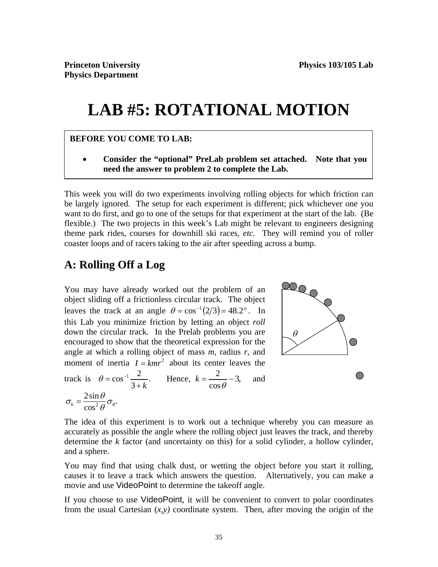# **LAB #5: ROTATIONAL MOTION**

### **BEFORE YOU COME TO LAB:**

 **Consider the "optional" PreLab problem set attached. Note that you need the answer to problem 2 to complete the Lab.** 

This week you will do two experiments involving rolling objects for which friction can be largely ignored. The setup for each experiment is different; pick whichever one you want to do first, and go to one of the setups for that experiment at the start of the lab. (Be flexible.) The two projects in this week's Lab might be relevant to engineers designing theme park rides, courses for downhill ski races, *etc.* They will remind you of roller coaster loops and of racers taking to the air after speeding across a bump.

# **A: Rolling Off a Log**

You may have already worked out the problem of an object sliding off a frictionless circular track. The object leaves the track at an angle  $\theta = \cos^{-1}(2/3) = 48.2^{\circ}$ . In this Lab you minimize friction by letting an object *roll* down the circular track. In the Prelab problems you are encouraged to show that the theoretical expression for the angle at which a rolling object of mass *m*, radius *r*, and moment of inertia  $I = kmr^2$  about its center leaves the track is  $\theta = \cos^{-1} \frac{2}{\epsilon}$ .  $heta = \cos^{-1} \frac{2}{3+k}$ . Hence,  $k = \frac{2}{\cos \theta} - 3$ , cos  $k = \frac{2}{\cos \theta} - 3$ , and  $\tau_k = \frac{2 \sin \theta}{\cos^2 \theta} \sigma_\theta.$  $\sigma_k = \frac{2\sin\theta}{\cos^2\theta}\sigma_k$ 



The idea of this experiment is to work out a technique whereby you can measure as accurately as possible the angle where the rolling object just leaves the track, and thereby determine the *k* factor (and uncertainty on this) for a solid cylinder, a hollow cylinder, and a sphere.

You may find that using chalk dust, or wetting the object before you start it rolling, causes it to leave a track which answers the question. Alternatively, you can make a movie and use VideoPoint to determine the takeoff angle.

If you choose to use VideoPoint, it will be convenient to convert to polar coordinates from the usual Cartesian  $(x, y)$  coordinate system. Then, after moving the origin of the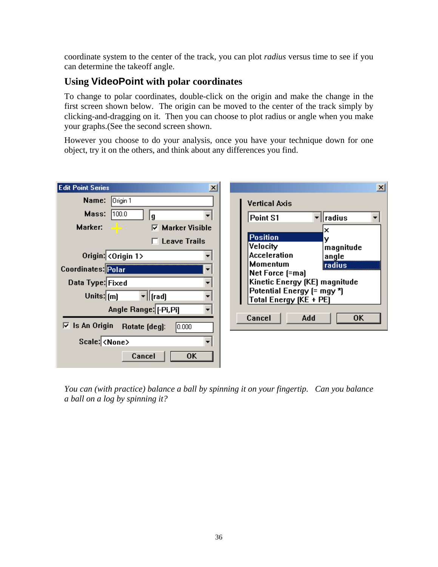coordinate system to the center of the track, you can plot *radius* versus time to see if you can determine the takeoff angle.

## **Using VideoPoint with polar coordinates**

To change to polar coordinates, double-click on the origin and make the change in the first screen shown below. The origin can be moved to the center of the track simply by clicking-and-dragging on it. Then you can choose to plot radius or angle when you make your graphs.(See the second screen shown.

However you choose to do your analysis, once you have your technique down for one object, try it on the others, and think about any differences you find.

| <b>Edit Point Series</b><br>$\mathbf{x}$                                                                                                         | $\vert x \vert$                                                                                                                                                                    |
|--------------------------------------------------------------------------------------------------------------------------------------------------|------------------------------------------------------------------------------------------------------------------------------------------------------------------------------------|
| Origin 1<br>Name:<br>Mass:<br>100.0<br>g<br>Marker:<br><b>Marker Visible</b><br>⊽<br><b>Leave Trails</b>                                         | <b>Vertical Axis</b><br>▼∥radius<br>Point S1<br>×<br><b>Position</b><br>у<br>Velocity                                                                                              |
| Origin: $\langle$ Origin 1><br>Coordinates: Polar<br>Data Type: Fixed<br>Units: $\mathsf{[m]}$<br>$\mathbf{r}$   [rad]<br>Angle Range: [-Pi, Pi] | magnitude<br><b>Acceleration</b><br>angle<br><b>Momentum</b><br>radius<br>Net Force [=ma]<br>Kinetic Energy (KE) magnitude<br>Potential Energy (= mgy *)<br>Total Energy (KE + PE) |
| $\overline{V}$ Is An Origin<br>Rotate [deg]:<br> 0.000 <br>Scale: <none><br/>Cancel<br/><b>OK</b></none>                                         | Cancel<br>0K<br>Add                                                                                                                                                                |

*You can (with practice) balance a ball by spinning it on your fingertip. Can you balance a ball on a log by spinning it?*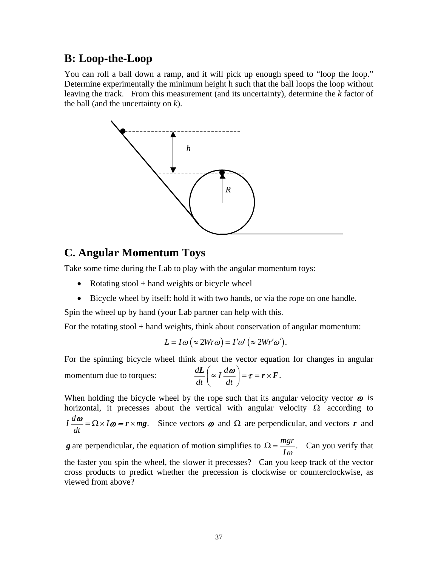# **B: Loop-the-Loop**

You can roll a ball down a ramp, and it will pick up enough speed to "loop the loop." Determine experimentally the minimum height h such that the ball loops the loop without leaving the track. From this measurement (and its uncertainty), determine the *k* factor of the ball (and the uncertainty on *k*).



## **C. Angular Momentum Toys**

Take some time during the Lab to play with the angular momentum toys:

- Rotating stool + hand weights or bicycle wheel
- Bicycle wheel by itself: hold it with two hands, or via the rope on one handle.

Spin the wheel up by hand (your Lab partner can help with this.

For the rotating stool + hand weights, think about conservation of angular momentum:

$$
L = I\omega (\approx 2Wr\omega) = I'\omega' (\approx 2Wr'\omega').
$$

For the spinning bicycle wheel think about the vector equation for changes in angular

momentum due to torques:  $\frac{dL}{dt} \left( \approx I \frac{d\omega}{dt} \right) = \tau = r \times F$ .  $\frac{d\bm{L}}{dt}$   $\left(\approx I \frac{d\bm{\omega}}{dt}\right) = \bm{\tau} = \bm{r} \times \bm{F}$ 

When holding the bicycle wheel by the rope such that its angular velocity vector  $\omega$  is horizontal, it precesses about the vertical with angular velocity  $\Omega$  according to  $I\frac{d\omega}{dt} = \Omega \times I\omega = r \times mg.$ *dt*  $\frac{\omega}{\omega} = \Omega \times I \omega = r \times mg$ . Since vectors  $\omega$  and  $\Omega$  are perpendicular, and vectors *r* and

*g* are perpendicular, the equation of motion simplifies to  $\Omega = \frac{mgr}{r}$ . *I*  $\Omega = \frac{mgt}{r}$ . Can you verify that the faster you spin the wheel, the slower it precesses? Can you keep track of the vector cross products to predict whether the precession is clockwise or counterclockwise, as viewed from above?